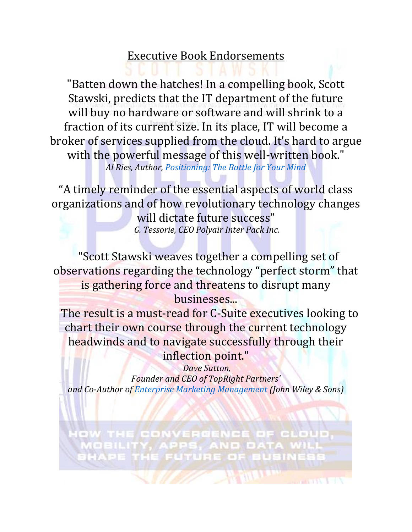## Executive Book Endorsements

"Batten down the hatches! In a compelling book, Scott Stawski, predicts that the IT department of the future will buy no hardware or software and will shrink to a fraction of its current size. In its place, IT will become a broker of services supplied from the cloud. It's hard to argue with the powerful message of this well-written book." *Al Ries, Author, [Positioning: The Battle for Your Mind](http://www.amazon.com/Al-Ries/e/B000APEU4W)*

"A timely reminder of the essential aspects of world class organizations and of how revolutionary technology changes will dictate future success" *G. Tessorie, CEO Polyair Inter Pack Inc.*

"Scott Stawski weaves together a compelling set of observations regarding the technology "perfect storm" that is gathering force and threatens to disrupt many businesses...

The result is a must-read for C-Suite executives looking to chart their own course through the current technology headwinds and to navigate successfully through their inflection point."

*Dave Sutton, Founder and CEO of TopRight Partners' and Co-Author of [Enterprise Marketing Management](http://www.amazon.com/Enterprise-Marketing-Management-New-Science/dp/0471267724/ref=sr_1_1?ie=UTF8&qid=1436538537&sr=8-1&keywords=Enterprise+Marketing+Management&pebp=1436538556978&perid=09K2HSZ94J6KHSW5QJ1N) (John Wiley & Sons)*

OW THE CONVERGENCE OF CLOUD,<br>MOBILITY, APPS, AND DATA WILL SHAPE THE FUTURE OF BUSINESS